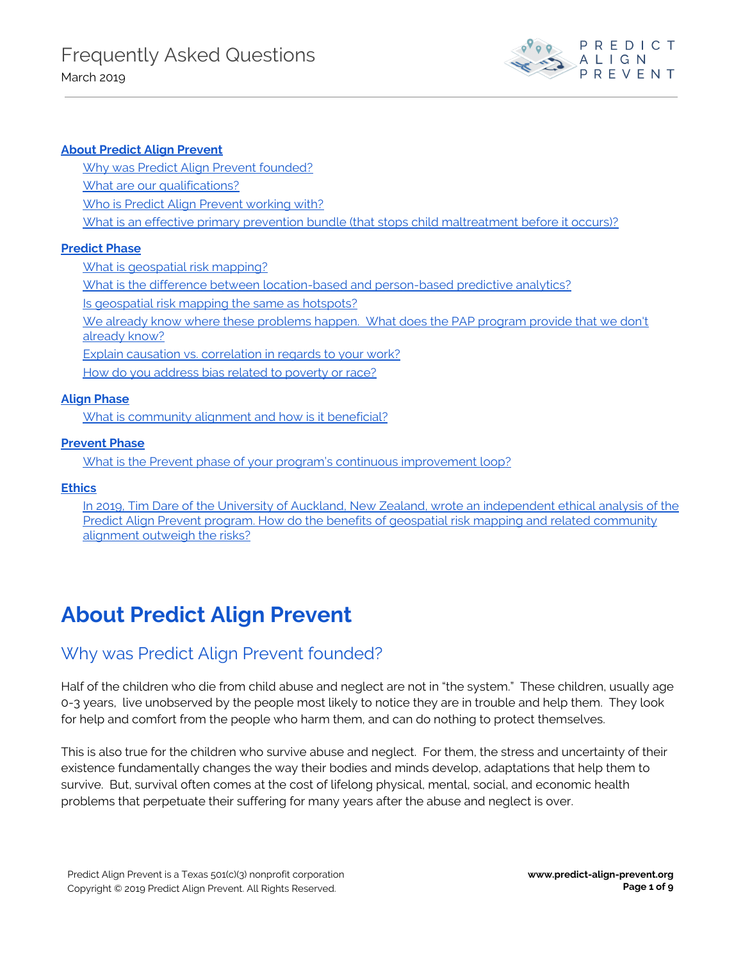

### **About Predict Align [Prevent](#page-0-0)**

Why was Predict Align Prevent [founded?](#page-0-1) What are our [qualifications?](#page-1-0) Who is Predict Align Prevent [working](#page-1-1) with? What is an effective primary prevention bundle (that stops child [maltreatment](#page-2-0) before it occurs)?

#### **[Predict](#page-2-1) Phase**

What is [geospatial](#page-2-2) risk mapping?

What is the difference between [location-based](#page-3-0) and person-based predictive analytics?

Is [geospatial](#page-4-0) risk mapping the same as hotspots?

We already know where these [problems](#page-4-1) happen. What does the PAP program provide that we don't [already](#page-4-1) know?

Explain causation vs. [correlation](#page-4-2) in regards to your work?

How do you [address](#page-4-3) bias related to poverty or race?

#### **Align [Phase](#page-4-4)**

What is [community](#page-4-5) alignment and how is it beneficial?

### **[Prevent](#page-5-0) Phase**

What is the Prevent phase of your program's continuous [improvement](#page-5-1) loop?

#### **[Ethics](#page-5-2)**

In 2019, Tim Dare of the University of Auckland, New Zealand, wrote an [independent](#page-5-3) ethical analysis of the Predict Align Prevent program. How do the benefits of geospatial risk mapping and related [community](#page-5-3) [alignment](#page-5-3) outweigh the risks?

# <span id="page-0-0"></span>**About Predict Align Prevent**

### <span id="page-0-1"></span>Why was Predict Align Prevent founded?

Half of the children who die from child abuse and neglect are not in "the system." These children, usually age 0-3 years, live unobserved by the people most likely to notice they are in trouble and help them. They look for help and comfort from the people who harm them, and can do nothing to protect themselves.

This is also true for the children who survive abuse and neglect. For them, the stress and uncertainty of their existence fundamentally changes the way their bodies and minds develop, adaptations that help them to survive. But, survival often comes at the cost of lifelong physical, mental, social, and economic health problems that perpetuate their suffering for many years after the abuse and neglect is over.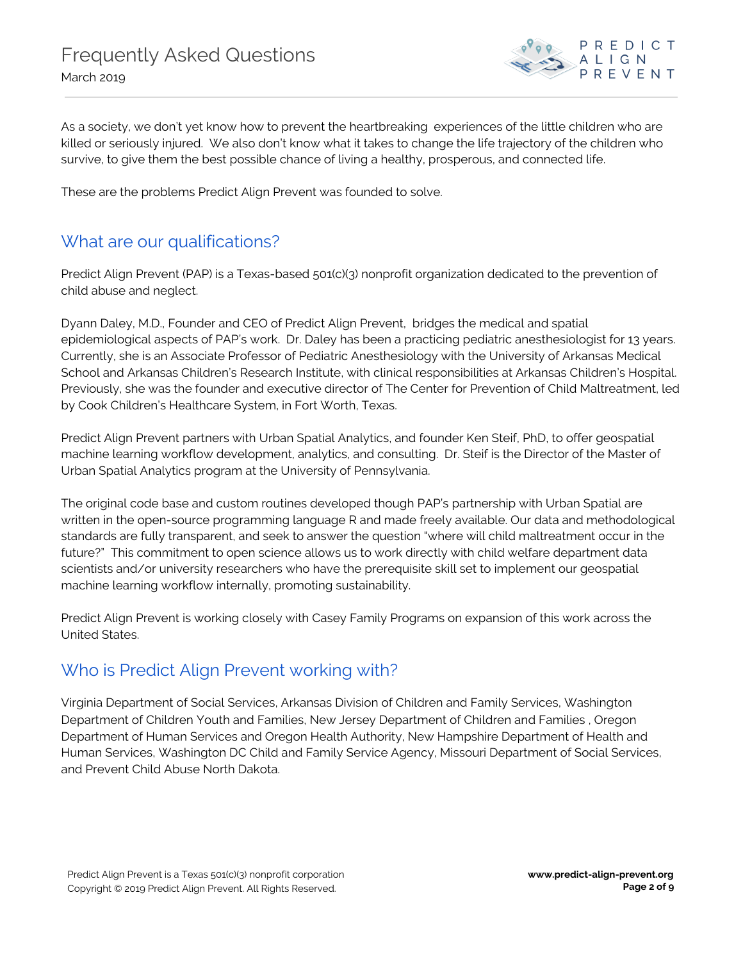

As a society, we don't yet know how to prevent the heartbreaking experiences of the little children who are killed or seriously injured. We also don't know what it takes to change the life trajectory of the children who survive, to give them the best possible chance of living a healthy, prosperous, and connected life.

These are the problems Predict Align Prevent was founded to solve.

### <span id="page-1-0"></span>What are our qualifications?

Predict Align Prevent (PAP) is a Texas-based 501(c)(3) nonprofit organization dedicated to the prevention of child abuse and neglect.

Dyann Daley, M.D., Founder and CEO of Predict Align Prevent, bridges the medical and spatial epidemiological aspects of PAP's work. Dr. Daley has been a practicing pediatric anesthesiologist for 13 years. Currently, she is an Associate Professor of Pediatric Anesthesiology with the University of Arkansas Medical School and Arkansas Children's Research Institute, with clinical responsibilities at Arkansas Children's Hospital. Previously, she was the founder and executive director of The Center for Prevention of Child Maltreatment, led by Cook Children's Healthcare System, in Fort Worth, Texas.

Predict Align Prevent partners with Urban Spatial Analytics, and founder Ken Steif, PhD, to offer geospatial machine learning workflow development, analytics, and consulting. Dr. Steif is the Director of the Master of Urban Spatial Analytics program at the University of Pennsylvania.

The original code base and custom routines developed though PAP's partnership with Urban Spatial are written in the open-source programming language R and made freely available. Our data and methodological standards are fully transparent, and seek to answer the question "where will child maltreatment occur in the future?" This commitment to open science allows us to work directly with child welfare department data scientists and/or university researchers who have the prerequisite skill set to implement our geospatial machine learning workflow internally, promoting sustainability.

Predict Align Prevent is working closely with Casey Family Programs on expansion of this work across the United States.

## <span id="page-1-1"></span>Who is Predict Align Prevent working with?

Virginia Department of Social Services, Arkansas Division of Children and Family Services, Washington Department of Children Youth and Families, New Jersey Department of Children and Families , Oregon Department of Human Services and Oregon Health Authority, New Hampshire Department of Health and Human Services, Washington DC Child and Family Service Agency, Missouri Department of Social Services, and Prevent Child Abuse North Dakota.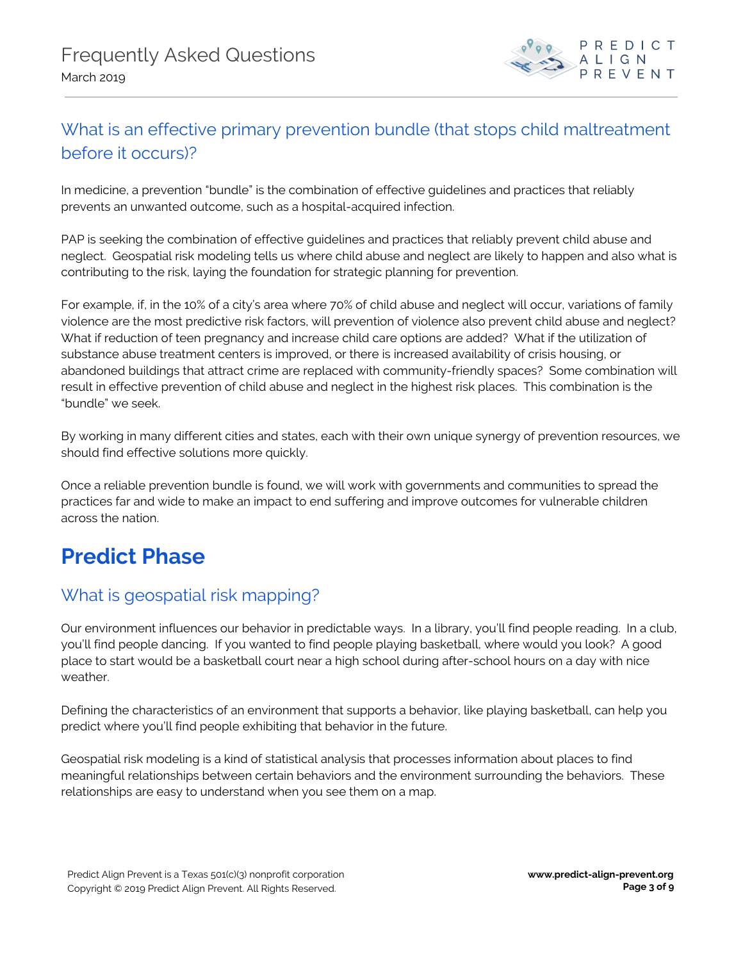

## <span id="page-2-0"></span>What is an effective primary prevention bundle (that stops child maltreatment before it occurs)?

In medicine, a prevention "bundle" is the combination of effective guidelines and practices that reliably prevents an unwanted outcome, such as a hospital-acquired infection.

PAP is seeking the combination of effective guidelines and practices that reliably prevent child abuse and neglect. Geospatial risk modeling tells us where child abuse and neglect are likely to happen and also what is contributing to the risk, laying the foundation for strategic planning for prevention.

For example, if, in the 10% of a city's area where 70% of child abuse and neglect will occur, variations of family violence are the most predictive risk factors, will prevention of violence also prevent child abuse and neglect? What if reduction of teen pregnancy and increase child care options are added? What if the utilization of substance abuse treatment centers is improved, or there is increased availability of crisis housing, or abandoned buildings that attract crime are replaced with community-friendly spaces? Some combination will result in effective prevention of child abuse and neglect in the highest risk places. This combination is the "bundle" we seek.

By working in many different cities and states, each with their own unique synergy of prevention resources, we should find effective solutions more quickly.

Once a reliable prevention bundle is found, we will work with governments and communities to spread the practices far and wide to make an impact to end suffering and improve outcomes for vulnerable children across the nation.

# <span id="page-2-1"></span>**Predict Phase**

## <span id="page-2-2"></span>What is geospatial risk mapping?

Our environment influences our behavior in predictable ways. In a library, you'll find people reading. In a club, you'll find people dancing. If you wanted to find people playing basketball, where would you look? A good place to start would be a basketball court near a high school during after-school hours on a day with nice weather.

Defining the characteristics of an environment that supports a behavior, like playing basketball, can help you predict where you'll find people exhibiting that behavior in the future.

Geospatial risk modeling is a kind of statistical analysis that processes information about places to find meaningful relationships between certain behaviors and the environment surrounding the behaviors. These relationships are easy to understand when you see them on a map.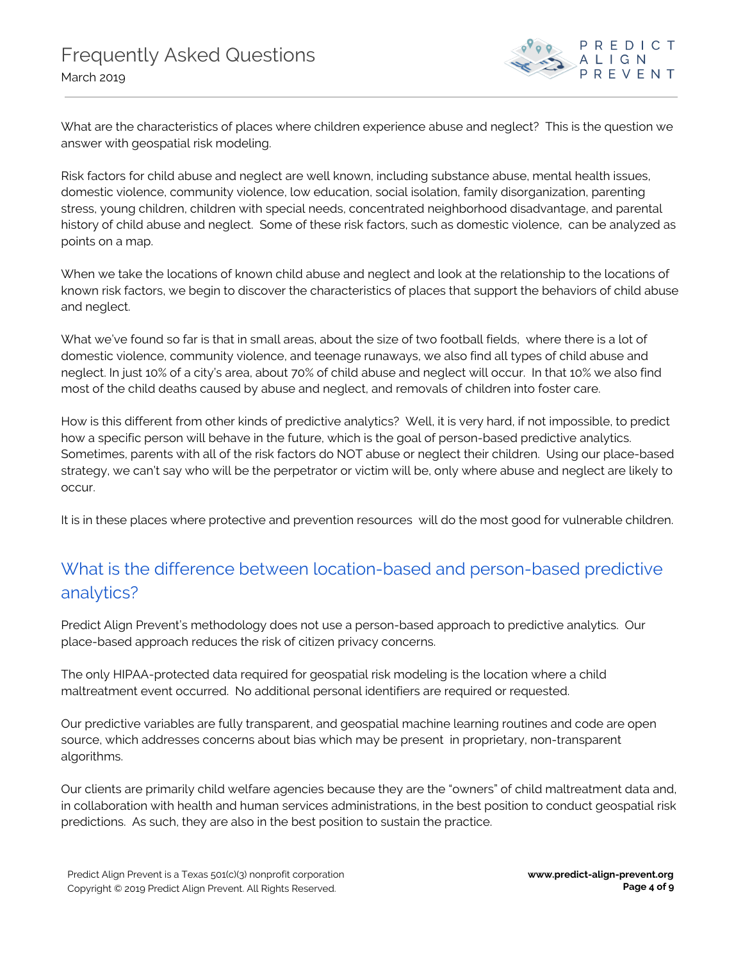

What are the characteristics of places where children experience abuse and neglect? This is the question we answer with geospatial risk modeling.

Risk factors for child abuse and neglect are well known, including substance abuse, mental health issues, domestic violence, community violence, low education, social isolation, family disorganization, parenting stress, young children, children with special needs, concentrated neighborhood disadvantage, and parental history of child abuse and neglect. Some of these risk factors, such as domestic violence, can be analyzed as points on a map.

When we take the locations of known child abuse and neglect and look at the relationship to the locations of known risk factors, we begin to discover the characteristics of places that support the behaviors of child abuse and neglect.

What we've found so far is that in small areas, about the size of two football fields, where there is a lot of domestic violence, community violence, and teenage runaways, we also find all types of child abuse and neglect. In just 10% of a city's area, about 70% of child abuse and neglect will occur. In that 10% we also find most of the child deaths caused by abuse and neglect, and removals of children into foster care.

How is this different from other kinds of predictive analytics? Well, it is very hard, if not impossible, to predict how a specific person will behave in the future, which is the goal of person-based predictive analytics. Sometimes, parents with all of the risk factors do NOT abuse or neglect their children. Using our place-based strategy, we can't say who will be the perpetrator or victim will be, only where abuse and neglect are likely to occur.

It is in these places where protective and prevention resources will do the most good for vulnerable children.

## <span id="page-3-0"></span>What is the difference between location-based and person-based predictive analytics?

Predict Align Prevent's methodology does not use a person-based approach to predictive analytics. Our place-based approach reduces the risk of citizen privacy concerns.

The only HIPAA-protected data required for geospatial risk modeling is the location where a child maltreatment event occurred. No additional personal identifiers are required or requested.

Our predictive variables are fully transparent, and geospatial machine learning routines and code are open source, which addresses concerns about bias which may be present in proprietary, non-transparent algorithms.

Our clients are primarily child welfare agencies because they are the "owners" of child maltreatment data and, in collaboration with health and human services administrations, in the best position to conduct geospatial risk predictions. As such, they are also in the best position to sustain the practice.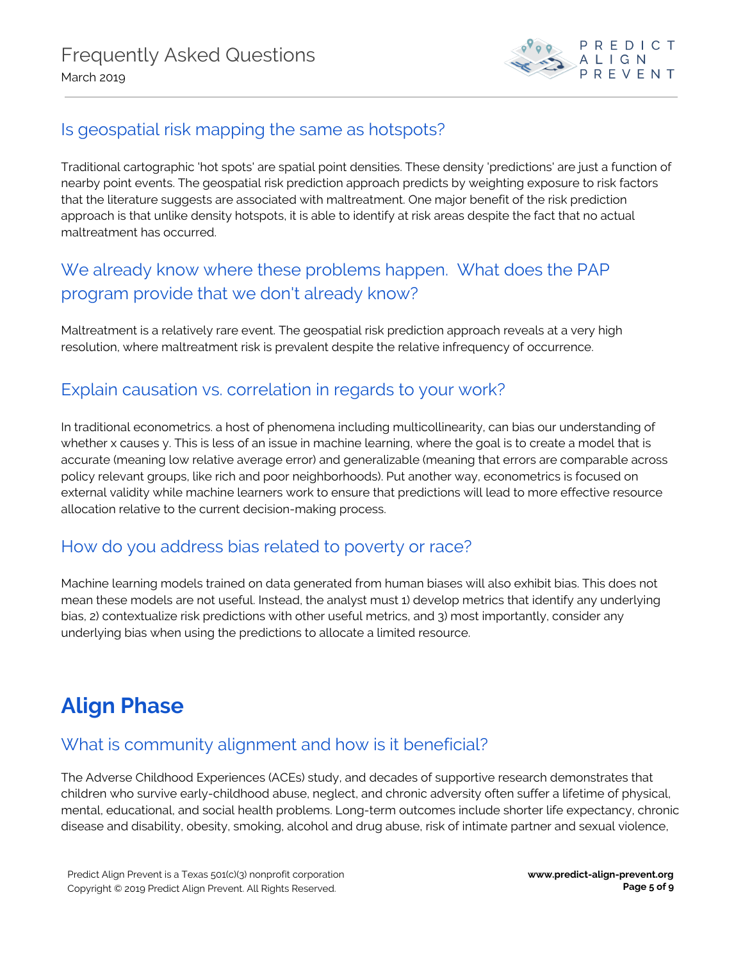

### <span id="page-4-0"></span>Is geospatial risk mapping the same as hotspots?

Traditional cartographic 'hot spots' are spatial point densities. These density 'predictions' are just a function of nearby point events. The geospatial risk prediction approach predicts by weighting exposure to risk factors that the literature suggests are associated with maltreatment. One major benefit of the risk prediction approach is that unlike density hotspots, it is able to identify at risk areas despite the fact that no actual maltreatment has occurred.

## <span id="page-4-1"></span>We already know where these problems happen. What does the PAP program provide that we don't already know?

Maltreatment is a relatively rare event. The geospatial risk prediction approach reveals at a very high resolution, where maltreatment risk is prevalent despite the relative infrequency of occurrence.

### <span id="page-4-2"></span>Explain causation vs. correlation in regards to your work?

In traditional econometrics. a host of phenomena including multicollinearity, can bias our understanding of whether x causes y. This is less of an issue in machine learning, where the goal is to create a model that is accurate (meaning low relative average error) and generalizable (meaning that errors are comparable across policy relevant groups, like rich and poor neighborhoods). Put another way, econometrics is focused on external validity while machine learners work to ensure that predictions will lead to more effective resource allocation relative to the current decision-making process.

### <span id="page-4-3"></span>How do you address bias related to poverty or race?

Machine learning models trained on data generated from human biases will also exhibit bias. This does not mean these models are not useful. Instead, the analyst must 1) develop metrics that identify any underlying bias, 2) contextualize risk predictions with other useful metrics, and 3) most importantly, consider any underlying bias when using the predictions to allocate a limited resource.

# <span id="page-4-4"></span>**Align Phase**

### <span id="page-4-5"></span>What is community alignment and how is it beneficial?

The Adverse Childhood Experiences (ACEs) study, and decades of supportive research demonstrates that children who survive early-childhood abuse, neglect, and chronic adversity often suffer a lifetime of physical, mental, educational, and social health problems. Long-term outcomes include shorter life expectancy, chronic disease and disability, obesity, smoking, alcohol and drug abuse, risk of intimate partner and sexual violence,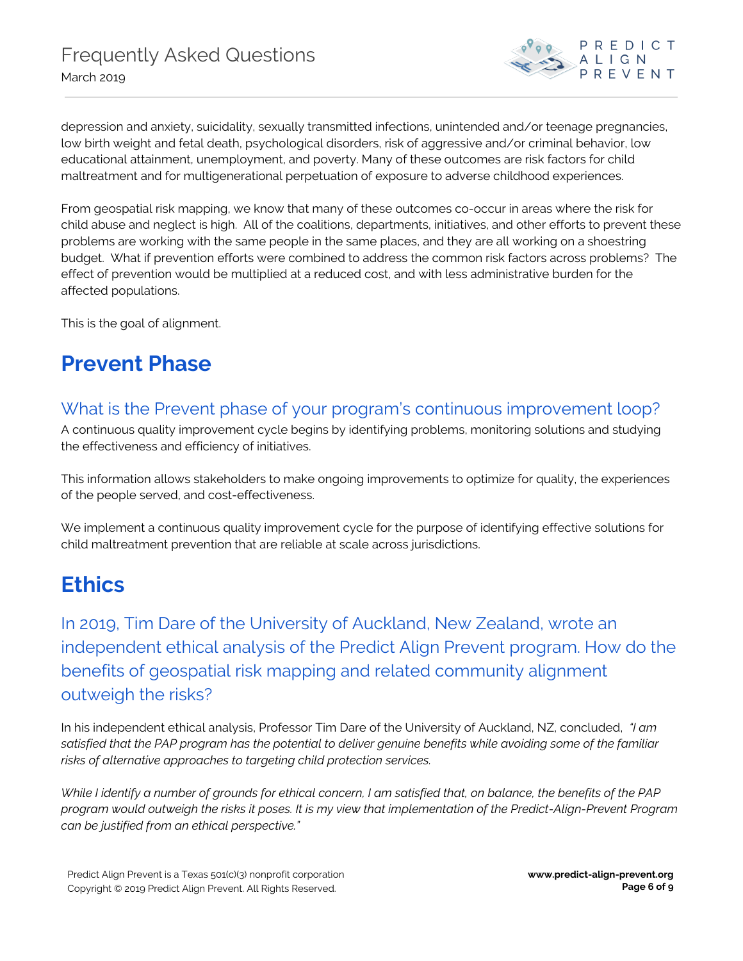

depression and anxiety, suicidality, sexually transmitted infections, unintended and/or teenage pregnancies, low birth weight and fetal death, psychological disorders, risk of aggressive and/or criminal behavior, low educational attainment, unemployment, and poverty. Many of these outcomes are risk factors for child maltreatment and for multigenerational perpetuation of exposure to adverse childhood experiences.

From geospatial risk mapping, we know that many of these outcomes co-occur in areas where the risk for child abuse and neglect is high. All of the coalitions, departments, initiatives, and other efforts to prevent these problems are working with the same people in the same places, and they are all working on a shoestring budget. What if prevention efforts were combined to address the common risk factors across problems? The effect of prevention would be multiplied at a reduced cost, and with less administrative burden for the affected populations.

This is the goal of alignment.

# <span id="page-5-0"></span>**Prevent Phase**

## <span id="page-5-1"></span>What is the Prevent phase of your program's continuous improvement loop?

A continuous quality improvement cycle begins by identifying problems, monitoring solutions and studying the effectiveness and efficiency of initiatives.

This information allows stakeholders to make ongoing improvements to optimize for quality, the experiences of the people served, and cost-effectiveness.

We implement a continuous quality improvement cycle for the purpose of identifying effective solutions for child maltreatment prevention that are reliable at scale across jurisdictions.

# <span id="page-5-2"></span>**Ethics**

<span id="page-5-3"></span>In 2019, Tim Dare of the University of Auckland, New Zealand, wrote an independent ethical analysis of the Predict Align Prevent program. How do the benefits of geospatial risk mapping and related community alignment outweigh the risks?

In his independent ethical analysis, Professor Tim Dare of the University of Auckland, NZ, concluded, *"I am* satisfied that the PAP program has the potential to deliver genuine benefits while avoiding some of the familiar *risks of alternative approaches to targeting child protection services.*

While I identify a number of grounds for ethical concern, I am satisfied that, on balance, the benefits of the PAP program would outweigh the risks it poses. It is my view that implementation of the Predict-Align-Prevent Program *can be justified from an ethical perspective."*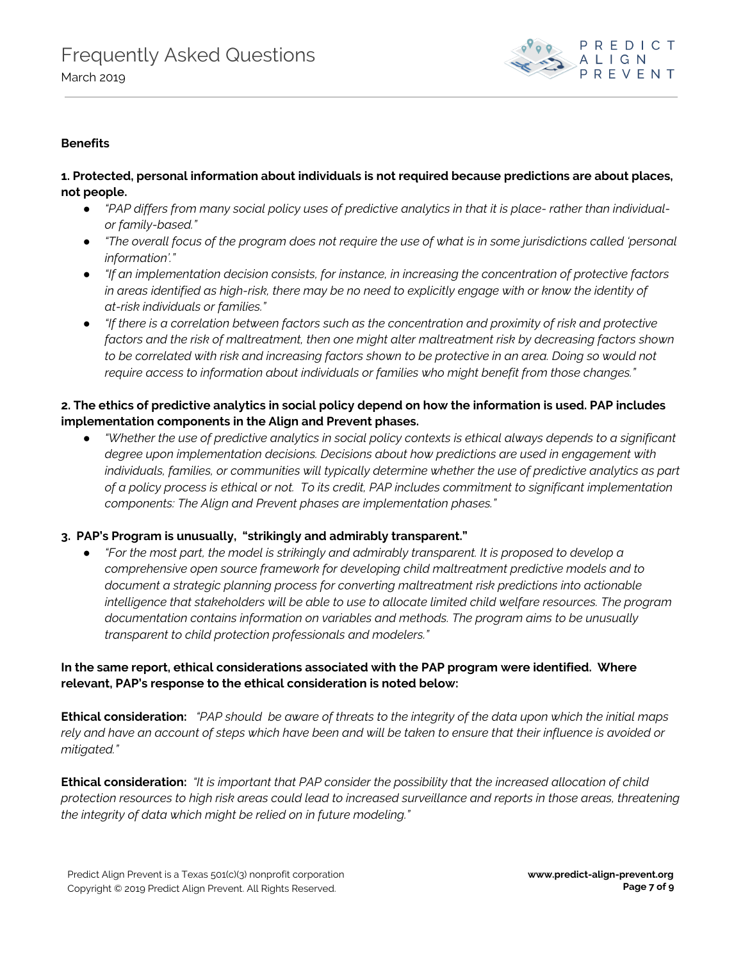

### **Benefits**

### **1. Protected, personal information about individuals is not required because predictions are about places, not people.**

- "PAP differs from many social policy uses of predictive analytics in that it is place- rather than individual*or family-based."*
- "The overall focus of the program does not require the use of what is in some jurisdictions called 'personal *information'."*
- *● "If an implementation decision consists, for instance, in increasing the concentration of protective factors* in areas identified as high-risk, there may be no need to explicitly engage with or know the identity of *at-risk individuals or families."*
- "If there is a correlation between factors such as the concentration and proximity of risk and protective *factors and the risk of maltreatment, then one might alter maltreatment risk by decreasing factors shown* to be correlated with risk and increasing factors shown to be protective in an area. Doing so would not *require access to information about individuals or families who might benefit from those changes."*

#### 2. The ethics of predictive analytics in social policy depend on how the information is used. PAP includes **implementation components in the Align and Prevent phases.**

• "Whether the use of predictive analytics in social policy contexts is ethical always depends to a significant *degree upon implementation decisions. Decisions about how predictions are used in engagement with individuals, families, or communities will typically determine whether the use of predictive analytics as part* of a policy process is ethical or not. To its credit, PAP includes commitment to significant implementation *components: The Align and Prevent phases are implementation phases."*

#### **3. PAP's Program is unusually, "strikingly and admirably transparent."**

● *"For the most part, the model is strikingly and admirably transparent. It is proposed to develop a comprehensive open source framework for developing child maltreatment predictive models and to document a strategic planning process for converting maltreatment risk predictions into actionable intelligence that stakeholders will be able to use to allocate limited child welfare resources. The program documentation contains information on variables and methods. The program aims to be unusually transparent to child protection professionals and modelers."*

### **In the same report, ethical considerations associated with the PAP program were identified. Where relevant, PAP's response to the ethical consideration is noted below:**

**Ethical consideration:** "PAP should be aware of threats to the integrity of the data upon which the initial maps rely and have an account of steps which have been and will be taken to ensure that their influence is avoided or *mitigated."*

**Ethical consideration:** *"It is important that PAP consider the possibility that the increased allocation of child* protection resources to high risk areas could lead to increased surveillance and reports in those areas, threatening *the integrity of data which might be relied on in future modeling."*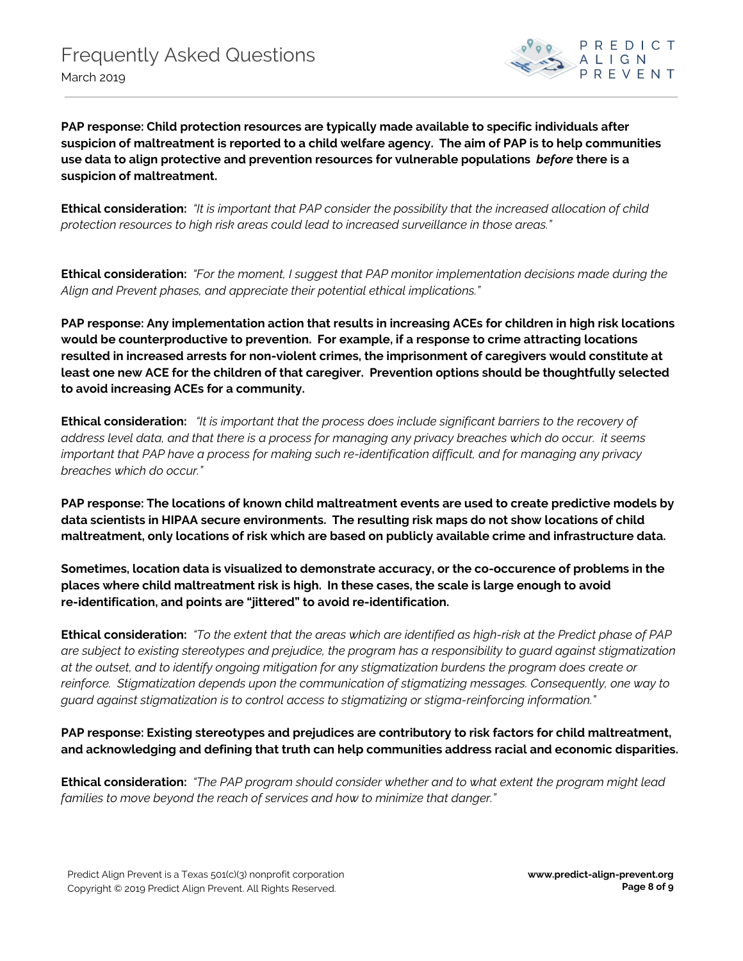

**PAP response: Child protection resources are typically made available to specific individuals after** suspicion of maltreatment is reported to a child welfare agency. The aim of PAP is to help communities **use data to align protective and prevention resources for vulnerable populations** *before* **there is a suspicion of maltreatment.**

**Ethical consideration:** *"It is important that PAP consider the possibility that the increased allocation of child protection resources to high risk areas could lead to increased surveillance in those areas."*

**Ethical consideration:** *"For the moment, I suggest that PAP monitor implementation decisions made during the Align and Prevent phases, and appreciate their potential ethical implications."*

**PAP response: Any implementation action that results in increasing ACEs for children in high risk locations would be counterproductive to prevention. For example, if a response to crime attracting locations resulted in increased arrests for non-violent crimes, the imprisonment of caregivers would constitute at least one new ACE for the children of that caregiver. Prevention options should be thoughtfully selected to avoid increasing ACEs for a community.**

**Ethical consideration:** *"It is important that the process does include significant barriers to the recovery of* address level data, and that there is a process for managing any privacy breaches which do occur. it seems *important that PAP have a process for making such re-identification difficult, and for managing any privacy breaches which do occur."*

**PAP response: The locations of known child maltreatment events are used to create predictive models by data scientists in HIPAA secure environments. The resulting risk maps do not show locations of child maltreatment, only locations of risk which are based on publicly available crime and infrastructure data.**

**Sometimes, location data is visualized to demonstrate accuracy, or the co-occurence of problems in the places where child maltreatment risk is high. In these cases, the scale is large enough to avoid re-identification, and points are "jittered" to avoid re-identification.**

Ethical consideration: "To the extent that the areas which are identified as high-risk at the Predict phase of PAP are subject to existing stereotypes and prejudice, the program has a responsibility to guard against stigmatization at the outset, and to identify ongoing mitigation for any stigmatization burdens the program does create or *reinforce. Stigmatization depends upon the communication of stigmatizing messages. Consequently, one way to guard against stigmatization is to control access to stigmatizing or stigma-reinforcing information."*

**PAP response: Existing stereotypes and prejudices are contributory to risk factors for child maltreatment, and acknowledging and defining that truth can help communities address racial and economic disparities.**

**Ethical consideration:** *"The PAP program should consider whether and to what extent the program might lead families to move beyond the reach of services and how to minimize that danger."*